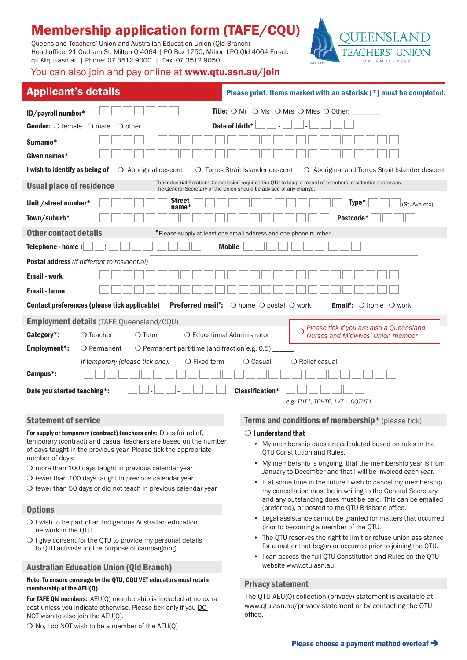# Membership application form (TAFE/CQU)

Queensland Teachers' Union and Australian Education Union (Qld Branch) Head office: 21 Graham St, Milton Q 4064 | PO Box 1750, Milton LPO Qld 4064 Email: qtu@qtu.asn.au | Phone: 07 3512 9000 | Fax: 07 3512 9050



## You can also join and pay online at www.qtu.asn.au/join

| <b>Applicant's details</b>                                                                                                                                                                                         | Please print. Items marked with an asterisk (*) must be completed.                                                          |  |  |  |  |  |  |  |
|--------------------------------------------------------------------------------------------------------------------------------------------------------------------------------------------------------------------|-----------------------------------------------------------------------------------------------------------------------------|--|--|--|--|--|--|--|
| ID/payroll number*                                                                                                                                                                                                 | <b>Title:</b> $\bigcirc$ Mr $\bigcirc$ Ms $\bigcirc$ Mrs $\bigcirc$ Miss $\bigcirc$ Other:                                  |  |  |  |  |  |  |  |
| <b>Gender:</b> $\bigcirc$ female $\bigcirc$ male<br>$\bigcirc$ other                                                                                                                                               | Date of birth*                                                                                                              |  |  |  |  |  |  |  |
| Surname*                                                                                                                                                                                                           |                                                                                                                             |  |  |  |  |  |  |  |
|                                                                                                                                                                                                                    |                                                                                                                             |  |  |  |  |  |  |  |
| Given names*                                                                                                                                                                                                       |                                                                                                                             |  |  |  |  |  |  |  |
| I wish to identify as being of<br>$\bigcirc$ Aboriginal descent<br>O Torres Strait Islander descent<br>○ Aboriginal and Torres Strait Islander descent                                                             |                                                                                                                             |  |  |  |  |  |  |  |
| The Industrial Relations Commission requires the QTU to keep a record of members' residential addresses.<br><b>Usual place of residence</b><br>The General Secretary of the Union should be advised of any change. |                                                                                                                             |  |  |  |  |  |  |  |
| <b>Street</b><br>Type*<br>Unit / street number*<br>(St, Ave etc)<br>$name*$                                                                                                                                        |                                                                                                                             |  |  |  |  |  |  |  |
| Town/suburb*                                                                                                                                                                                                       | Postcode*                                                                                                                   |  |  |  |  |  |  |  |
| <b>Other contact details</b><br># Please supply at least one email address and one phone number                                                                                                                    |                                                                                                                             |  |  |  |  |  |  |  |
| Telephone - home (<br><b>Mobile</b>                                                                                                                                                                                |                                                                                                                             |  |  |  |  |  |  |  |
| Postal address (if different to residential)                                                                                                                                                                       |                                                                                                                             |  |  |  |  |  |  |  |
| <b>Email - work</b>                                                                                                                                                                                                |                                                                                                                             |  |  |  |  |  |  |  |
| <b>Email</b> - home                                                                                                                                                                                                |                                                                                                                             |  |  |  |  |  |  |  |
| Contact preferences (please tick applicable)<br><b>Preferred mail*:</b> $\bigcirc$ home $\bigcirc$ postal $\bigcirc$ work<br><b>Email</b> <sup>#</sup> : $\bigcirc$ home $\bigcirc$ work                           |                                                                                                                             |  |  |  |  |  |  |  |
| Employment details (TAFE Queensland/CQU)                                                                                                                                                                           |                                                                                                                             |  |  |  |  |  |  |  |
| Category*:<br>$\bigcirc$ Teacher<br>$\bigcirc$ Tutor                                                                                                                                                               | Please tick if you are also a Queensland<br>○ Educational Administrator<br><b>Nurses and Midwives' Union member</b>         |  |  |  |  |  |  |  |
| Employment*:<br>O Permanent<br>$\circ$ Permanent part-time (and fraction e.g. 0.5) _                                                                                                                               |                                                                                                                             |  |  |  |  |  |  |  |
| $\bigcirc$ Fixed term<br>If temporary (please tick one):                                                                                                                                                           | $\bigcirc$ Relief casual<br>$\bigcirc$ Casual                                                                               |  |  |  |  |  |  |  |
| Campus*:                                                                                                                                                                                                           |                                                                                                                             |  |  |  |  |  |  |  |
| Date you started teaching*:                                                                                                                                                                                        | <b>Classification*</b>                                                                                                      |  |  |  |  |  |  |  |
|                                                                                                                                                                                                                    | e.g. TUT1, TCHT6, LVT1, CQTUT1                                                                                              |  |  |  |  |  |  |  |
| <b>Statement of service</b>                                                                                                                                                                                        | Terms and conditions of membership* (please tick)                                                                           |  |  |  |  |  |  |  |
| For supply or temporary (contract) teachers only: Dues for relief,                                                                                                                                                 | $\bigcirc$ I understand that                                                                                                |  |  |  |  |  |  |  |
| temporary (contract) and casual teachers are based on the number<br>of days taught in the previous year. Please tick the appropriate                                                                               | • My membership dues are calculated based on rules in the<br>QTU Constitution and Rules.                                    |  |  |  |  |  |  |  |
| number of days:<br>$\bigcirc$ more than 100 days taught in previous calendar year                                                                                                                                  | My membership is ongoing, that the membership year is from<br>$\bullet$                                                     |  |  |  |  |  |  |  |
| $\bigcirc$ fewer than 100 days taught in previous calendar year                                                                                                                                                    | January to December and that I will be invoiced each year.<br>If at some time in the future I wish to cancel my membership, |  |  |  |  |  |  |  |
| O fewer than 50 days or did not teach in previous calendar year                                                                                                                                                    | my cancellation must be in writing to the General Secretary<br>and any outstanding dues must be paid. This can be emailed   |  |  |  |  |  |  |  |
| <b>Options</b>                                                                                                                                                                                                     | (preferred), or posted to the QTU Brisbane office.                                                                          |  |  |  |  |  |  |  |
| O I wish to be part of an Indigenous Australian education<br>network in the OTU                                                                                                                                    | Legal assistance cannot be granted for matters that occurred<br>prior to becoming a member of the QTU.                      |  |  |  |  |  |  |  |

- The QTU reserves the right to limit or refuse union assistance for a matter that began or occurred prior to joining the QTU.
	- I can access the full QTU Constitution and Rules on the QTU website www.qtu.asn.au.

## Privacy statement

The QTU AEU(Q) collection (privacy) statement is available at www.qtu.asn.au/privacy-statement or by contacting the QTU office.

Australian Education Union (Qld Branch)

membership of the AEU(Q).

NOT wish to also join the AEU(Q).

 $\bigcirc$  I give consent for the QTU to provide my personal details to QTU activists for the purpose of campaigning.

Note: To ensure coverage by the QTU, CQU VET educators must retain

For TAFE Qld members: AEU(Q) membership is included at no extra cost unless you indicate otherwise. Please tick only if you DO